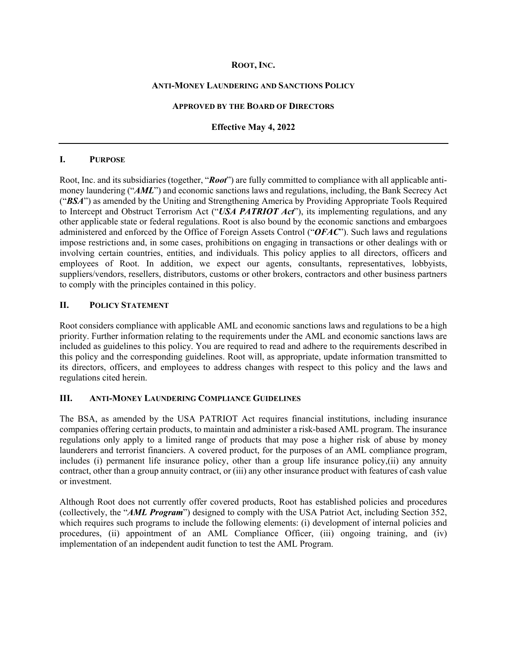## **ROOT, INC.**

#### **ANTI-MONEY LAUNDERING AND SANCTIONS POLICY**

#### **APPROVED BY THE BOARD OF DIRECTORS**

### **Effective May 4, 2022**

#### **I. PURPOSE**

Root, Inc. and its subsidiaries (together, "*Root*") are fully committed to compliance with all applicable antimoney laundering ("*AML*") and economic sanctions laws and regulations, including, the Bank Secrecy Act ("*BSA*") as amended by the Uniting and Strengthening America by Providing Appropriate Tools Required to Intercept and Obstruct Terrorism Act ("*USA PATRIOT Act*"), its implementing regulations, and any other applicable state or federal regulations. Root is also bound by the economic sanctions and embargoes administered and enforced by the Office of Foreign Assets Control ("*OFAC*"). Such laws and regulations impose restrictions and, in some cases, prohibitions on engaging in transactions or other dealings with or involving certain countries, entities, and individuals. This policy applies to all directors, officers and employees of Root. In addition, we expect our agents, consultants, representatives, lobbyists, suppliers/vendors, resellers, distributors, customs or other brokers, contractors and other business partners to comply with the principles contained in this policy.

# **II. POLICY STATEMENT**

Root considers compliance with applicable AML and economic sanctions laws and regulations to be a high priority. Further information relating to the requirements under the AML and economic sanctions laws are included as guidelines to this policy. You are required to read and adhere to the requirements described in this policy and the corresponding guidelines. Root will, as appropriate, update information transmitted to its directors, officers, and employees to address changes with respect to this policy and the laws and regulations cited herein.

#### **III. ANTI-MONEY LAUNDERING COMPLIANCE GUIDELINES**

The BSA, as amended by the USA PATRIOT Act requires financial institutions, including insurance companies offering certain products, to maintain and administer a risk-based AML program. The insurance regulations only apply to a limited range of products that may pose a higher risk of abuse by money launderers and terrorist financiers. A covered product, for the purposes of an AML compliance program, includes (i) permanent life insurance policy, other than a group life insurance policy,(ii) any annuity contract, other than a group annuity contract, or (iii) any other insurance product with features of cash value or investment.

Although Root does not currently offer covered products, Root has established policies and procedures (collectively, the "*AML Program*") designed to comply with the USA Patriot Act, including Section 352, which requires such programs to include the following elements: (i) development of internal policies and procedures, (ii) appointment of an AML Compliance Officer, (iii) ongoing training, and (iv) implementation of an independent audit function to test the AML Program.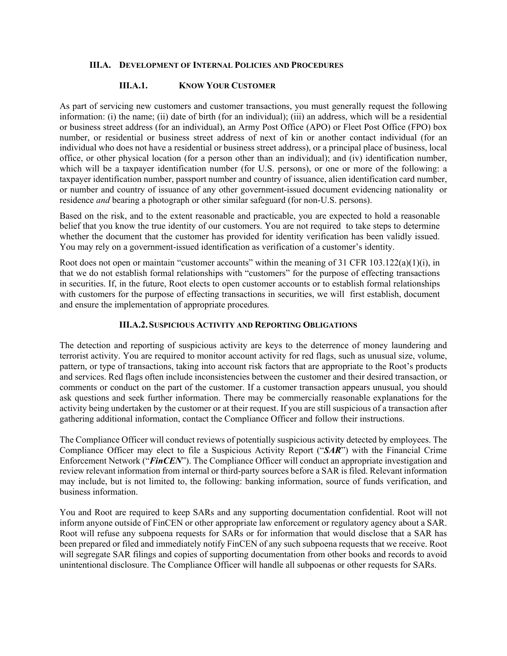## **III.A. DEVELOPMENT OF INTERNAL POLICIES AND PROCEDURES**

## **III.A.1. KNOW YOUR CUSTOMER**

As part of servicing new customers and customer transactions, you must generally request the following information: (i) the name; (ii) date of birth (for an individual); (iii) an address, which will be a residential or business street address (for an individual), an Army Post Office (APO) or Fleet Post Office (FPO) box number, or residential or business street address of next of kin or another contact individual (for an individual who does not have a residential or business street address), or a principal place of business, local office, or other physical location (for a person other than an individual); and (iv) identification number, which will be a taxpayer identification number (for U.S. persons), or one or more of the following: a taxpayer identification number, passport number and country of issuance, alien identification card number, or number and country of issuance of any other government-issued document evidencing nationality or residence *and* bearing a photograph or other similar safeguard (for non-U.S. persons).

Based on the risk, and to the extent reasonable and practicable, you are expected to hold a reasonable belief that you know the true identity of our customers. You are not required to take steps to determine whether the document that the customer has provided for identity verification has been validly issued. You may rely on a government-issued identification as verification of a customer's identity.

Root does not open or maintain "customer accounts" within the meaning of 31 CFR 103.122(a)(1)(i), in that we do not establish formal relationships with "customers" for the purpose of effecting transactions in securities. If, in the future, Root elects to open customer accounts or to establish formal relationships with customers for the purpose of effecting transactions in securities, we will first establish, document and ensure the implementation of appropriate procedures*.*

## **III.A.2.SUSPICIOUS ACTIVITY AND REPORTING OBLIGATIONS**

The detection and reporting of suspicious activity are keys to the deterrence of money laundering and terrorist activity. You are required to monitor account activity for red flags, such as unusual size, volume, pattern, or type of transactions, taking into account risk factors that are appropriate to the Root's products and services. Red flags often include inconsistencies between the customer and their desired transaction, or comments or conduct on the part of the customer. If a customer transaction appears unusual, you should ask questions and seek further information. There may be commercially reasonable explanations for the activity being undertaken by the customer or at their request. If you are still suspicious of a transaction after gathering additional information, contact the Compliance Officer and follow their instructions.

The Compliance Officer will conduct reviews of potentially suspicious activity detected by employees. The Compliance Officer may elect to file a Suspicious Activity Report ("*SAR*") with the Financial Crime Enforcement Network ("*FinCEN*"). The Compliance Officer will conduct an appropriate investigation and review relevant information from internal or third-party sources before a SAR is filed. Relevant information may include, but is not limited to, the following: banking information, source of funds verification, and business information.

You and Root are required to keep SARs and any supporting documentation confidential. Root will not inform anyone outside of FinCEN or other appropriate law enforcement or regulatory agency about a SAR. Root will refuse any subpoena requests for SARs or for information that would disclose that a SAR has been prepared or filed and immediately notify FinCEN of any such subpoena requests that we receive. Root will segregate SAR filings and copies of supporting documentation from other books and records to avoid unintentional disclosure. The Compliance Officer will handle all subpoenas or other requests for SARs.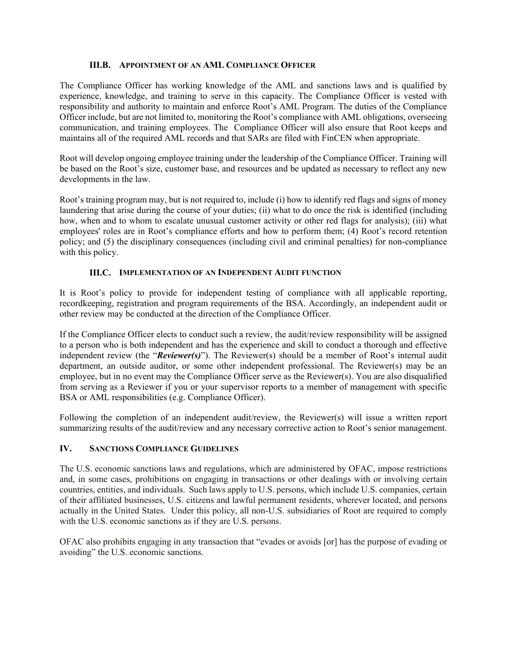## **III.B. APPOINTMENT OF AN AML COMPLIANCE OFFICER**

The Compliance Officer has working knowledge of the AML and sanctions laws and is qualified by experience, knowledge, and training to serve in this capacity. The Compliance Officer is vested with responsibility and authority to maintain and enforce Root's AML Program. The duties of the Compliance Officer include, but are not limited to, monitoring the Root's compliance with AML obligations, overseeing communication, and training employees. The Compliance Officer will also ensure that Root keeps and maintains all of the required AML records and that SARs are filed with FinCEN when appropriate.

Root will develop ongoing employee training under the leadership of the Compliance Officer. Training will be based on the Root's size, customer base, and resources and be updated as necessary to reflect any new developments in the law.

Root's training program may, but is not required to, include (i) how to identify red flags and signs of money laundering that arise during the course of your duties; (ii) what to do once the risk is identified (including how, when and to whom to escalate unusual customer activity or other red flags for analysis); (iii) what employees' roles are in Root's compliance efforts and how to perform them; (4) Root's record retention policy; and (5) the disciplinary consequences (including civil and criminal penalties) for non-compliance with this policy.

## **III.C. IMPLEMENTATION OF AN INDEPENDENT AUDIT FUNCTION**

It is Root's policy to provide for independent testing of compliance with all applicable reporting, recordkeeping, registration and program requirements of the BSA. Accordingly, an independent audit or other review may be conducted at the direction of the Compliance Officer.

If the Compliance Officer elects to conduct such a review, the audit/review responsibility will be assigned to a person who is both independent and has the experience and skill to conduct a thorough and effective independent review (the "*Reviewer(s)*"). The Reviewer(s) should be a member of Root's internal audit department, an outside auditor, or some other independent professional. The Reviewer(s) may be an employee, but in no event may the Compliance Officer serve as the Reviewer(s). You are also disqualified from serving as a Reviewer if you or your supervisor reports to a member of management with specific BSA or AML responsibilities (e.g. Compliance Officer).

Following the completion of an independent audit/review, the Reviewer(s) will issue a written report summarizing results of the audit/review and any necessary corrective action to Root's senior management.

## **IV. SANCTIONS COMPLIANCE GUIDELINES**

The U.S. economic sanctions laws and regulations, which are administered by OFAC, impose restrictions and, in some cases, prohibitions on engaging in transactions or other dealings with or involving certain countries, entities, and individuals. Such laws apply to U.S. persons, which include U.S. companies, certain of their affiliated businesses, U.S. citizens and lawful permanent residents, wherever located, and persons actually in the United States. Under this policy, all non-U.S. subsidiaries of Root are required to comply with the U.S. economic sanctions as if they are U.S. persons.

OFAC also prohibits engaging in any transaction that "evades or avoids [or] has the purpose of evading or avoiding" the U.S. economic sanctions.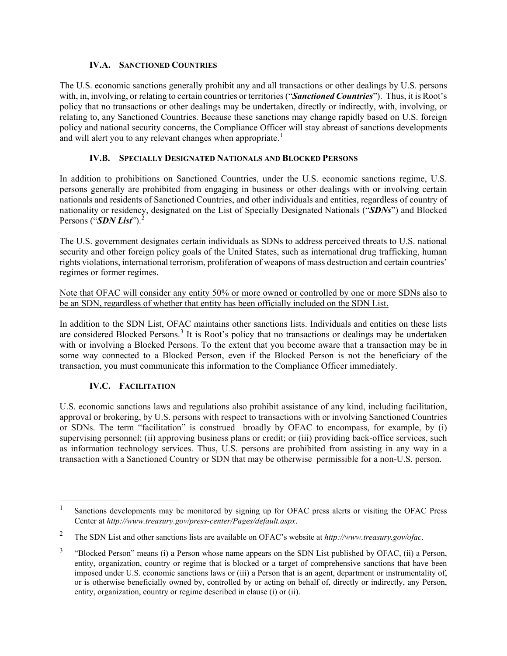# **IV.A. SANCTIONED COUNTRIES**

The U.S. economic sanctions generally prohibit any and all transactions or other dealings by U.S. persons with, in, involving, or relating to certain countries or territories ("*Sanctioned Countries*"). Thus, it is Root's policy that no transactions or other dealings may be undertaken, directly or indirectly, with, involving, or relating to, any Sanctioned Countries. Because these sanctions may change rapidly based on U.S. foreign policy and national security concerns, the Compliance Officer will stay abreast of sanctions developments and will alert you to any relevant changes when appropriate.<sup>[1](#page-3-0)</sup>

# **IV.B. SPECIALLY DESIGNATED NATIONALS AND BLOCKED PERSONS**

In addition to prohibitions on Sanctioned Countries, under the U.S. economic sanctions regime, U.S. persons generally are prohibited from engaging in business or other dealings with or involving certain nationals and residents of Sanctioned Countries, and other individuals and entities, regardless of country of nationality or residency, designated on the List of Specially Designated Nationals ("*SDNs*") and Blocked Persons ("*SDN List*").<sup>[2](#page-3-1)</sup>

The U.S. government designates certain individuals as SDNs to address perceived threats to U.S. national security and other foreign policy goals of the United States, such as international drug trafficking, human rights violations, international terrorism, proliferation of weapons of mass destruction and certain countries' regimes or former regimes.

Note that OFAC will consider any entity 50% or more owned or controlled by one or more SDNs also to be an SDN, regardless of whether that entity has been officially included on the SDN List.

In addition to the SDN List, OFAC maintains other sanctions lists. Individuals and entities on these lists are considered Blocked Persons.<sup>[3](#page-3-2)</sup> It is Root's policy that no transactions or dealings may be undertaken with or involving a Blocked Persons. To the extent that you become aware that a transaction may be in some way connected to a Blocked Person, even if the Blocked Person is not the beneficiary of the transaction, you must communicate this information to the Compliance Officer immediately.

# **IV.C. FACILITATION**

U.S. economic sanctions laws and regulations also prohibit assistance of any kind, including facilitation, approval or brokering, by U.S. persons with respect to transactions with or involving Sanctioned Countries or SDNs. The term "facilitation" is construed broadly by OFAC to encompass, for example, by (i) supervising personnel; (ii) approving business plans or credit; or (iii) providing back-office services, such as information technology services. Thus, U.S. persons are prohibited from assisting in any way in a transaction with a Sanctioned Country or SDN that may be otherwise permissible for a non-U.S. person.

<span id="page-3-0"></span><sup>&</sup>lt;sup>1</sup> Sanctions developments may be monitored by signing up for OFAC press alerts or visiting the OFAC Press Center at *http://www.treasury.gov/press-center/Pages/default.aspx*.

<span id="page-3-1"></span><sup>2</sup> The SDN List and other sanctions lists are available on OFAC's website at *http://www.treasury.gov/ofac*.

<span id="page-3-2"></span><sup>3</sup> "Blocked Person" means (i) a Person whose name appears on the SDN List published by OFAC, (ii) a Person, entity, organization, country or regime that is blocked or a target of comprehensive sanctions that have been imposed under U.S. economic sanctions laws or (iii) a Person that is an agent, department or instrumentality of, or is otherwise beneficially owned by, controlled by or acting on behalf of, directly or indirectly, any Person, entity, organization, country or regime described in clause (i) or (ii).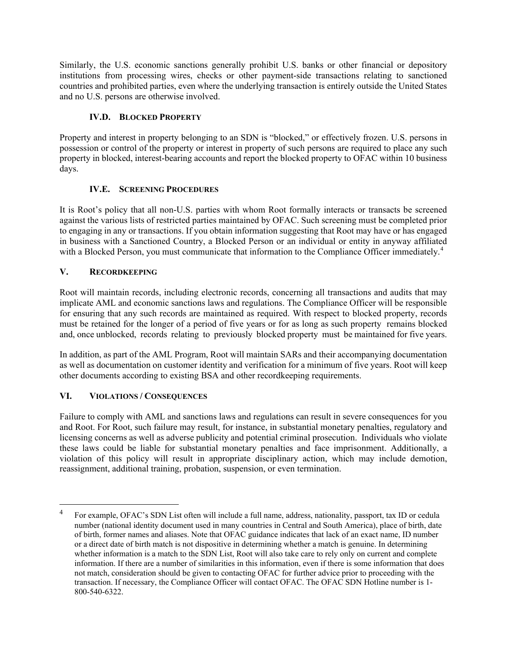Similarly, the U.S. economic sanctions generally prohibit U.S. banks or other financial or depository institutions from processing wires, checks or other payment-side transactions relating to sanctioned countries and prohibited parties, even where the underlying transaction is entirely outside the United States and no U.S. persons are otherwise involved.

# **IV.D. BLOCKED PROPERTY**

Property and interest in property belonging to an SDN is "blocked," or effectively frozen. U.S. persons in possession or control of the property or interest in property of such persons are required to place any such property in blocked, interest-bearing accounts and report the blocked property to OFAC within 10 business days.

# **IV.E. SCREENING PROCEDURES**

It is Root's policy that all non-U.S. parties with whom Root formally interacts or transacts be screened against the various lists of restricted parties maintained by OFAC. Such screening must be completed prior to engaging in any or transactions. If you obtain information suggesting that Root may have or has engaged in business with a Sanctioned Country, a Blocked Person or an individual or entity in anyway affiliated with a Blocked Person, you must communicate that information to the Compliance Officer immediately.<sup>[4](#page-4-0)</sup>

# **V. RECORDKEEPING**

Root will maintain records, including electronic records, concerning all transactions and audits that may implicate AML and economic sanctions laws and regulations. The Compliance Officer will be responsible for ensuring that any such records are maintained as required. With respect to blocked property, records must be retained for the longer of a period of five years or for as long as such property remains blocked and, once unblocked, records relating to previously blocked property must be maintained for five years.

In addition, as part of the AML Program, Root will maintain SARs and their accompanying documentation as well as documentation on customer identity and verification for a minimum of five years. Root will keep other documents according to existing BSA and other recordkeeping requirements.

# **VI. VIOLATIONS / CONSEQUENCES**

Failure to comply with AML and sanctions laws and regulations can result in severe consequences for you and Root. For Root, such failure may result, for instance, in substantial monetary penalties, regulatory and licensing concerns as well as adverse publicity and potential criminal prosecution. Individuals who violate these laws could be liable for substantial monetary penalties and face imprisonment. Additionally, a violation of this policy will result in appropriate disciplinary action, which may include demotion, reassignment, additional training, probation, suspension, or even termination.

<span id="page-4-0"></span><sup>4</sup> For example, OFAC's SDN List often will include a full name, address, nationality, passport, tax ID or cedula number (national identity document used in many countries in Central and South America), place of birth, date of birth, former names and aliases. Note that OFAC guidance indicates that lack of an exact name, ID number or a direct date of birth match is not dispositive in determining whether a match is genuine. In determining whether information is a match to the SDN List, Root will also take care to rely only on current and complete information. If there are a number of similarities in this information, even if there is some information that does not match, consideration should be given to contacting OFAC for further advice prior to proceeding with the transaction. If necessary, the Compliance Officer will contact OFAC. The OFAC SDN Hotline number is 1- 800-540-6322.